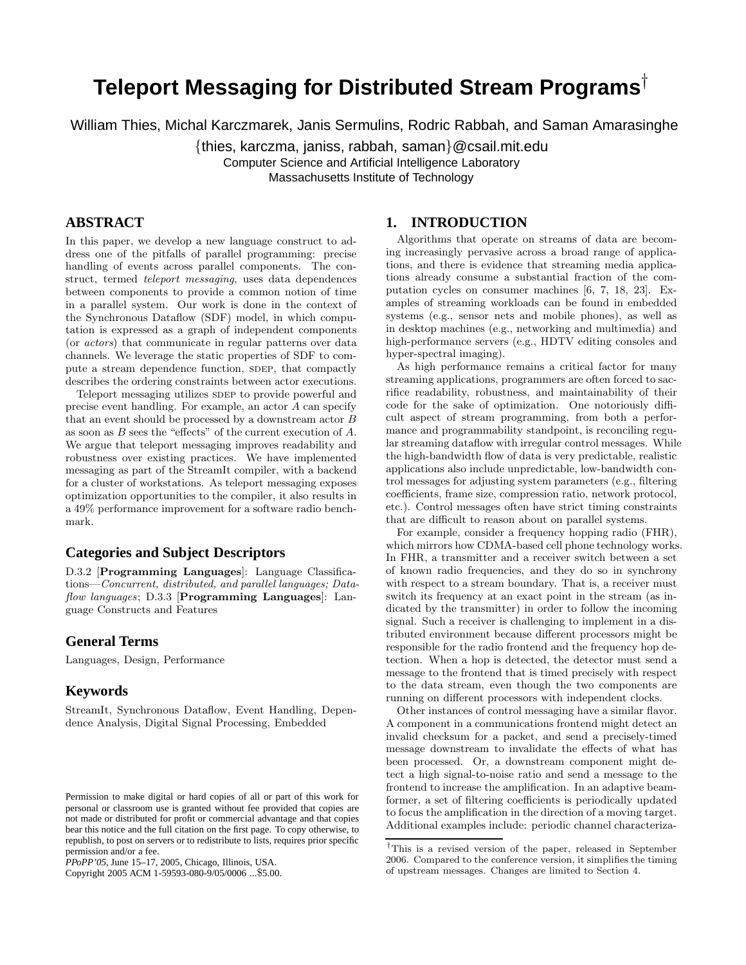# **Teleport Messaging for Distributed Stream Programs***†*

William Thies, Michal Karczmarek, Janis Sermulins, Rodric Rabbah, and Saman Amarasinghe

*{*thies, karczma, janiss, rabbah, saman*}*@csail.mit.edu Computer Science and Artificial Intelligence Laboratory Massachusetts Institute of Technology

# **ABSTRACT**

In this paper, we develop a new language construct to address one of the pitfalls of parallel programming: precise handling of events across parallel components. The construct, termed *teleport messaging*, uses data dependences between components to provide a common notion of time in a parallel system. Our work is done in the context of the Synchronous Dataflow (SDF) model, in which computation is expressed as a graph of independent components (or *actors*) that communicate in regular patterns over data channels. We leverage the static properties of SDF to compute a stream dependence function, SDEP, that compactly describes the ordering constraints between actor executions.

Teleport messaging utilizes SDEP to provide powerful and precise event handling. For example, an actor A can specify that an event should be processed by a downstream actor  $B$ as soon as B sees the "effects" of the current execution of A. We argue that teleport messaging improves readability and robustness over existing practices. We have implemented messaging as part of the StreamIt compiler, with a backend for a cluster of workstations. As teleport messaging exposes optimization opportunities to the compiler, it also results in a 49% performance improvement for a software radio benchmark.

### **Categories and Subject Descriptors**

D.3.2 [**Programming Languages**]: Language Classifications—*Concurrent, distributed, and parallel languages; Dataflow languages*; D.3.3 [**Programming Languages**]: Language Constructs and Features

#### **General Terms**

Languages, Design, Performance

#### **Keywords**

StreamIt, Synchronous Dataflow, Event Handling, Dependence Analysis, Digital Signal Processing, Embedded

Copyright 2005 ACM 1-59593-080-9/05/0006 ...\$5.00.

# **1. INTRODUCTION**

Algorithms that operate on streams of data are becoming increasingly pervasive across a broad range of applications, and there is evidence that streaming media applications already consume a substantial fraction of the computation cycles on consumer machines [6, 7, 18, 23]. Examples of streaming workloads can be found in embedded systems (e.g., sensor nets and mobile phones), as well as in desktop machines (e.g., networking and multimedia) and high-performance servers (e.g., HDTV editing consoles and hyper-spectral imaging).

As high performance remains a critical factor for many streaming applications, programmers are often forced to sacrifice readability, robustness, and maintainability of their code for the sake of optimization. One notoriously difficult aspect of stream programming, from both a performance and programmability standpoint, is reconciling regular streaming dataflow with irregular control messages. While the high-bandwidth flow of data is very predictable, realistic applications also include unpredictable, low-bandwidth control messages for adjusting system parameters (e.g., filtering coefficients, frame size, compression ratio, network protocol, etc.). Control messages often have strict timing constraints that are difficult to reason about on parallel systems.

For example, consider a frequency hopping radio (FHR), which mirrors how CDMA-based cell phone technology works. In FHR, a transmitter and a receiver switch between a set of known radio frequencies, and they do so in synchrony with respect to a stream boundary. That is, a receiver must switch its frequency at an exact point in the stream (as indicated by the transmitter) in order to follow the incoming signal. Such a receiver is challenging to implement in a distributed environment because different processors might be responsible for the radio frontend and the frequency hop detection. When a hop is detected, the detector must send a message to the frontend that is timed precisely with respect to the data stream, even though the two components are running on different processors with independent clocks.

Other instances of control messaging have a similar flavor. A component in a communications frontend might detect an invalid checksum for a packet, and send a precisely-timed message downstream to invalidate the effects of what has been processed. Or, a downstream component might detect a high signal-to-noise ratio and send a message to the frontend to increase the amplification. In an adaptive beamformer, a set of filtering coefficients is periodically updated to focus the amplification in the direction of a moving target. Additional examples include: periodic channel characteriza-

Permission to make digital or hard copies of all or part of this work for personal or classroom use is granted without fee provided that copies are not made or distributed for profit or commercial advantage and that copies bear this notice and the full citation on the first page. To copy otherwise, to republish, to post on servers or to redistribute to lists, requires prior specific permission and/or a fee.

*PPoPP'05,* June 15–17, 2005, Chicago, Illinois, USA.

<sup>†</sup> This is a revised version of the paper, released in September 2006. Compared to the conference version, it simplifies the timing of upstream messages. Changes are limited to Section 4.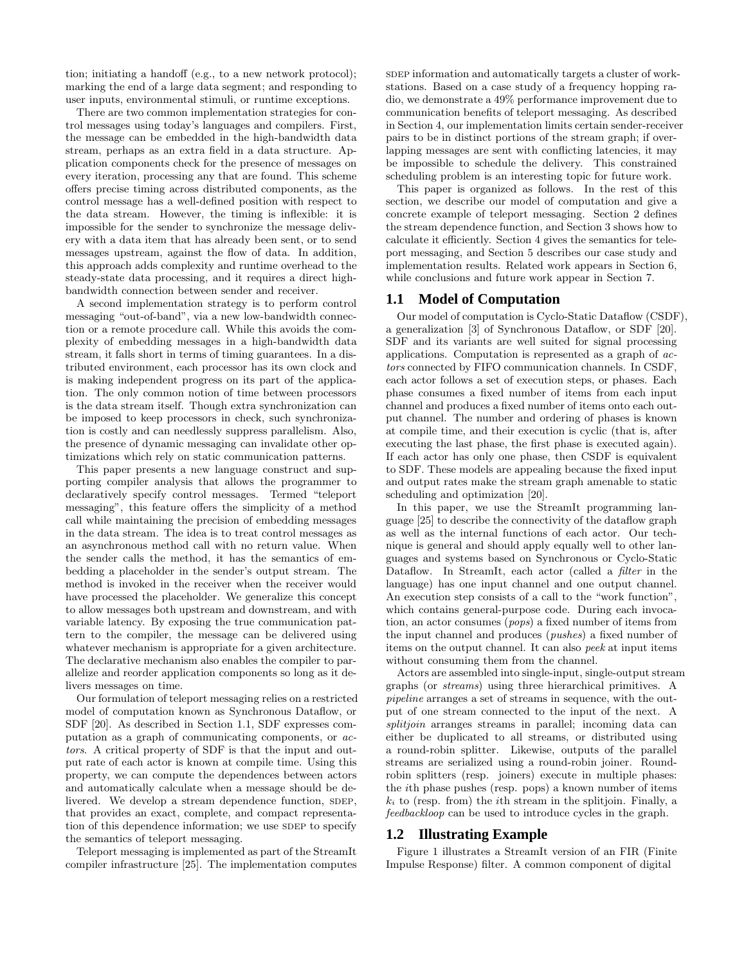tion; initiating a handoff (e.g., to a new network protocol); marking the end of a large data segment; and responding to user inputs, environmental stimuli, or runtime exceptions.

There are two common implementation strategies for control messages using today's languages and compilers. First, the message can be embedded in the high-bandwidth data stream, perhaps as an extra field in a data structure. Application components check for the presence of messages on every iteration, processing any that are found. This scheme offers precise timing across distributed components, as the control message has a well-defined position with respect to the data stream. However, the timing is inflexible: it is impossible for the sender to synchronize the message delivery with a data item that has already been sent, or to send messages upstream, against the flow of data. In addition, this approach adds complexity and runtime overhead to the steady-state data processing, and it requires a direct highbandwidth connection between sender and receiver.

A second implementation strategy is to perform control messaging "out-of-band", via a new low-bandwidth connection or a remote procedure call. While this avoids the complexity of embedding messages in a high-bandwidth data stream, it falls short in terms of timing guarantees. In a distributed environment, each processor has its own clock and is making independent progress on its part of the application. The only common notion of time between processors is the data stream itself. Though extra synchronization can be imposed to keep processors in check, such synchronization is costly and can needlessly suppress parallelism. Also, the presence of dynamic messaging can invalidate other optimizations which rely on static communication patterns.

This paper presents a new language construct and supporting compiler analysis that allows the programmer to declaratively specify control messages. Termed "teleport messaging", this feature offers the simplicity of a method call while maintaining the precision of embedding messages in the data stream. The idea is to treat control messages as an asynchronous method call with no return value. When the sender calls the method, it has the semantics of embedding a placeholder in the sender's output stream. The method is invoked in the receiver when the receiver would have processed the placeholder. We generalize this concept to allow messages both upstream and downstream, and with variable latency. By exposing the true communication pattern to the compiler, the message can be delivered using whatever mechanism is appropriate for a given architecture. The declarative mechanism also enables the compiler to parallelize and reorder application components so long as it delivers messages on time.

Our formulation of teleport messaging relies on a restricted model of computation known as Synchronous Dataflow, or SDF [20]. As described in Section 1.1, SDF expresses computation as a graph of communicating components, or *actors*. A critical property of SDF is that the input and output rate of each actor is known at compile time. Using this property, we can compute the dependences between actors and automatically calculate when a message should be delivered. We develop a stream dependence function, SDEP, that provides an exact, complete, and compact representation of this dependence information; we use SDEP to specify the semantics of teleport messaging.

Teleport messaging is implemented as part of the StreamIt compiler infrastructure [25]. The implementation computes sdep information and automatically targets a cluster of workstations. Based on a case study of a frequency hopping radio, we demonstrate a 49% performance improvement due to communication benefits of teleport messaging. As described in Section 4, our implementation limits certain sender-receiver pairs to be in distinct portions of the stream graph; if overlapping messages are sent with conflicting latencies, it may be impossible to schedule the delivery. This constrained scheduling problem is an interesting topic for future work.

This paper is organized as follows. In the rest of this section, we describe our model of computation and give a concrete example of teleport messaging. Section 2 defines the stream dependence function, and Section 3 shows how to calculate it efficiently. Section 4 gives the semantics for teleport messaging, and Section 5 describes our case study and implementation results. Related work appears in Section 6, while conclusions and future work appear in Section 7.

#### **1.1 Model of Computation**

Our model of computation is Cyclo-Static Dataflow (CSDF), a generalization [3] of Synchronous Dataflow, or SDF [20]. SDF and its variants are well suited for signal processing applications. Computation is represented as a graph of *actors* connected by FIFO communication channels. In CSDF, each actor follows a set of execution steps, or phases. Each phase consumes a fixed number of items from each input channel and produces a fixed number of items onto each output channel. The number and ordering of phases is known at compile time, and their execution is cyclic (that is, after executing the last phase, the first phase is executed again). If each actor has only one phase, then CSDF is equivalent to SDF. These models are appealing because the fixed input and output rates make the stream graph amenable to static scheduling and optimization [20].

In this paper, we use the StreamIt programming language [25] to describe the connectivity of the dataflow graph as well as the internal functions of each actor. Our technique is general and should apply equally well to other languages and systems based on Synchronous or Cyclo-Static Dataflow. In StreamIt, each actor (called a *filter* in the language) has one input channel and one output channel. An execution step consists of a call to the "work function", which contains general-purpose code. During each invocation, an actor consumes (*pops*) a fixed number of items from the input channel and produces (*pushes*) a fixed number of items on the output channel. It can also *peek* at input items without consuming them from the channel.

Actors are assembled into single-input, single-output stream graphs (or *streams*) using three hierarchical primitives. A *pipeline* arranges a set of streams in sequence, with the output of one stream connected to the input of the next. A *splitjoin* arranges streams in parallel; incoming data can either be duplicated to all streams, or distributed using a round-robin splitter. Likewise, outputs of the parallel streams are serialized using a round-robin joiner. Roundrobin splitters (resp. joiners) execute in multiple phases: the ith phase pushes (resp. pops) a known number of items  $k_i$  to (resp. from) the *i*th stream in the splitioin. Finally, a *feedbackloop* can be used to introduce cycles in the graph.

#### **1.2 Illustrating Example**

Figure 1 illustrates a StreamIt version of an FIR (Finite Impulse Response) filter. A common component of digital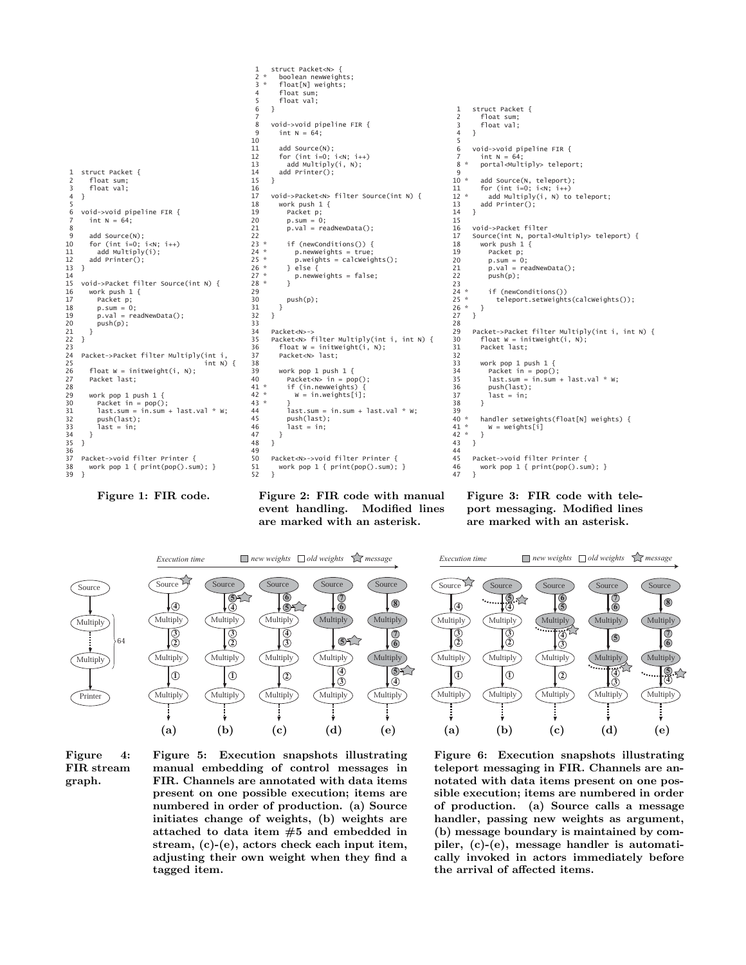| 2<br>3<br>$\overline{4}$<br>5<br>6<br>7<br>8<br>9<br>10<br>11<br>12<br>$13$ }<br>14 | 1 struct Packet {<br>float sum:<br>float val:<br>$\rightarrow$<br>void->void pipeline FIR {<br>int $N = 64$ ;<br>add Source(N);<br>for (int i=0; $i < N$ ; $i + 1$ )<br>add Multiply(i);<br>$add$ Printer $()$ ; | struct Packet <n> {<br/>1<br/><math>2 *</math><br/>boolean newweights;<br/><math>3*</math><br/>float[N] weights;<br/><math>\overline{4}</math><br/>float sum;<br/>5<br/>float val;<br/>6<br/><math>\mathcal{F}</math><br/><math>\overline{7}</math><br/>8<br/>void-&gt;void pipeline FIR {<br/>9<br/>int <math>N = 64</math>;<br/>10<br/>11<br/>add Source(N);<br/>12<br/>for (int i=0; <math>i &lt; N</math>; <math>i + 1</math>)<br/>13<br/>add Multiply(i, N);<br/>14<br/><math>add</math> Printer<math>()</math>;<br/>15<br/><math>\mathcal{F}</math><br/>16<br/>17<br/>void-&gt;Packet<n> filter Source(int N) {<br/>18<br/>work push <math>1 \{</math><br/>19<br/>Packet p;<br/>20<br/><math>p.sum = 0;</math><br/>21<br/><math>p.val = readNewData();</math><br/>22<br/><math>23 *</math><br/>if (newConditions()) {<br/><math>24 *</math><br/><math>p.newWeights = true;</math><br/><math>25 *</math><br/><math>p. weights = calcweights()</math>;<br/><math>26 *</math><br/><math>\}</math> else <math>\{</math><br/><math>27 *</math><br/><math>p.newWeights = false;</math></n></n> | struct Packet {<br>1<br>$\overline{2}$<br>float sum;<br>3<br>float val:<br>$\overline{4}$<br>$\mathcal{F}$<br>5<br>6<br>void->void pipeline FIR {<br>$\overline{7}$<br>int $N = 64$ ;<br>$8 *$<br>portal <multiply> teleport;<br/>9<br/><math>10 *</math><br/>add Source(N, teleport);<br/>11<br/>for (int i=0; <math>i &lt; N</math>; <math>i + j</math>)<br/><math>12 *</math><br/>add Multiply(i, N) to teleport;<br/>13<br/><math>add</math> Printer<math>()</math>;<br/>14<br/><math>\mathcal{F}</math><br/>15<br/>void-&gt;Packet filter<br/>16<br/>17<br/>Source(int N, portal<multiply> teleport) {<br/>18<br/>work push <math>1 \{</math><br/>19<br/>Packet p:<br/>20<br/><math>p.sum = 0</math>;<br/>21<br/><math>p.val = readNewData():</math><br/>22<br/><math>push(p)</math>:</multiply></multiply> |
|-------------------------------------------------------------------------------------|------------------------------------------------------------------------------------------------------------------------------------------------------------------------------------------------------------------|------------------------------------------------------------------------------------------------------------------------------------------------------------------------------------------------------------------------------------------------------------------------------------------------------------------------------------------------------------------------------------------------------------------------------------------------------------------------------------------------------------------------------------------------------------------------------------------------------------------------------------------------------------------------------------------------------------------------------------------------------------------------------------------------------------------------------------------------------------------------------------------------------------------------------------------------------------------------------------------------------------------------------------------------------------------------------------------------|------------------------------------------------------------------------------------------------------------------------------------------------------------------------------------------------------------------------------------------------------------------------------------------------------------------------------------------------------------------------------------------------------------------------------------------------------------------------------------------------------------------------------------------------------------------------------------------------------------------------------------------------------------------------------------------------------------------------------------------------------------------------------------------------------------------|
| 15<br>16                                                                            | void->Packet filter Source(int N) {<br>work push $1 \{$                                                                                                                                                          | $28 *$<br>ŀ<br>29                                                                                                                                                                                                                                                                                                                                                                                                                                                                                                                                                                                                                                                                                                                                                                                                                                                                                                                                                                                                                                                                              | 23<br>$24 *$<br>if (newConditions())                                                                                                                                                                                                                                                                                                                                                                                                                                                                                                                                                                                                                                                                                                                                                                             |
| 17                                                                                  | Packet p;                                                                                                                                                                                                        | 30<br>$push(p)$ :                                                                                                                                                                                                                                                                                                                                                                                                                                                                                                                                                                                                                                                                                                                                                                                                                                                                                                                                                                                                                                                                              | $25 *$<br>teleport.setWeights(calcWeights());                                                                                                                                                                                                                                                                                                                                                                                                                                                                                                                                                                                                                                                                                                                                                                    |
| 18                                                                                  | $p.sum = 0$ ;                                                                                                                                                                                                    | 31<br>$\rightarrow$                                                                                                                                                                                                                                                                                                                                                                                                                                                                                                                                                                                                                                                                                                                                                                                                                                                                                                                                                                                                                                                                            | $26 *$ }                                                                                                                                                                                                                                                                                                                                                                                                                                                                                                                                                                                                                                                                                                                                                                                                         |
| 19                                                                                  | $p.val = readNewData();$                                                                                                                                                                                         | 32<br>$\mathcal{F}$<br>33                                                                                                                                                                                                                                                                                                                                                                                                                                                                                                                                                                                                                                                                                                                                                                                                                                                                                                                                                                                                                                                                      | $\}$<br>27                                                                                                                                                                                                                                                                                                                                                                                                                                                                                                                                                                                                                                                                                                                                                                                                       |
| 20<br>21                                                                            | $push(p)$ :<br>- }                                                                                                                                                                                               | 34<br>Packet <n>-&gt;</n>                                                                                                                                                                                                                                                                                                                                                                                                                                                                                                                                                                                                                                                                                                                                                                                                                                                                                                                                                                                                                                                                      | 28<br>29<br>Packet->Packet filter Multiply(int i, int N) {                                                                                                                                                                                                                                                                                                                                                                                                                                                                                                                                                                                                                                                                                                                                                       |
| 22                                                                                  | - }                                                                                                                                                                                                              | 35<br>Packet <n> filter Multiply(int i, int N) {</n>                                                                                                                                                                                                                                                                                                                                                                                                                                                                                                                                                                                                                                                                                                                                                                                                                                                                                                                                                                                                                                           | 30<br>float $W = initWeight(i, N);$                                                                                                                                                                                                                                                                                                                                                                                                                                                                                                                                                                                                                                                                                                                                                                              |
| 23                                                                                  |                                                                                                                                                                                                                  | 36<br>float $W = initWeight(i, N);$                                                                                                                                                                                                                                                                                                                                                                                                                                                                                                                                                                                                                                                                                                                                                                                                                                                                                                                                                                                                                                                            | 31<br>Packet last:                                                                                                                                                                                                                                                                                                                                                                                                                                                                                                                                                                                                                                                                                                                                                                                               |
| 24                                                                                  | Packet->Packet filter Multiply(int i,                                                                                                                                                                            | 37<br>Packet <n> last;</n>                                                                                                                                                                                                                                                                                                                                                                                                                                                                                                                                                                                                                                                                                                                                                                                                                                                                                                                                                                                                                                                                     | 32                                                                                                                                                                                                                                                                                                                                                                                                                                                                                                                                                                                                                                                                                                                                                                                                               |
| 25                                                                                  | $int N)$ {                                                                                                                                                                                                       | 38                                                                                                                                                                                                                                                                                                                                                                                                                                                                                                                                                                                                                                                                                                                                                                                                                                                                                                                                                                                                                                                                                             | 33<br>work pop 1 push $1 \{$                                                                                                                                                                                                                                                                                                                                                                                                                                                                                                                                                                                                                                                                                                                                                                                     |
| 26                                                                                  | float $W = initWeight(i, N);$                                                                                                                                                                                    | 39<br>work pop 1 push $1 \{$                                                                                                                                                                                                                                                                                                                                                                                                                                                                                                                                                                                                                                                                                                                                                                                                                                                                                                                                                                                                                                                                   | 34<br>Packet in = $pop()$ ;                                                                                                                                                                                                                                                                                                                                                                                                                                                                                                                                                                                                                                                                                                                                                                                      |
| 27                                                                                  | Packet last;                                                                                                                                                                                                     | 40<br>Packet <n> <math>in = pop()</math>;</n>                                                                                                                                                                                                                                                                                                                                                                                                                                                                                                                                                                                                                                                                                                                                                                                                                                                                                                                                                                                                                                                  | 35<br>$last.sum = in.sum + last.val * W;$                                                                                                                                                                                                                                                                                                                                                                                                                                                                                                                                                                                                                                                                                                                                                                        |
| 28                                                                                  |                                                                                                                                                                                                                  | $41 *$<br>if $(in.newWeights)$ {                                                                                                                                                                                                                                                                                                                                                                                                                                                                                                                                                                                                                                                                                                                                                                                                                                                                                                                                                                                                                                                               | 36<br>push(last);                                                                                                                                                                                                                                                                                                                                                                                                                                                                                                                                                                                                                                                                                                                                                                                                |
| 29                                                                                  | work pop 1 push $1 \{$                                                                                                                                                                                           | $42 *$<br>$W = in-weights[i];$                                                                                                                                                                                                                                                                                                                                                                                                                                                                                                                                                                                                                                                                                                                                                                                                                                                                                                                                                                                                                                                                 | 37<br>$last = in;$                                                                                                                                                                                                                                                                                                                                                                                                                                                                                                                                                                                                                                                                                                                                                                                               |
| 30                                                                                  | Packet in = $pop()$ ;                                                                                                                                                                                            | 43 *<br>ł.                                                                                                                                                                                                                                                                                                                                                                                                                                                                                                                                                                                                                                                                                                                                                                                                                                                                                                                                                                                                                                                                                     | 38<br>$\mathcal{F}$                                                                                                                                                                                                                                                                                                                                                                                                                                                                                                                                                                                                                                                                                                                                                                                              |
| 31<br>32                                                                            | $last.sum = in.sum + last.val * w;$<br>push(last);                                                                                                                                                               | $last.sum = in.sum + last.val * W;$<br>44<br>45<br>push(last);                                                                                                                                                                                                                                                                                                                                                                                                                                                                                                                                                                                                                                                                                                                                                                                                                                                                                                                                                                                                                                 | 39<br>$40 *$                                                                                                                                                                                                                                                                                                                                                                                                                                                                                                                                                                                                                                                                                                                                                                                                     |
| 33                                                                                  | $last = in;$                                                                                                                                                                                                     | 46<br>$last = in;$                                                                                                                                                                                                                                                                                                                                                                                                                                                                                                                                                                                                                                                                                                                                                                                                                                                                                                                                                                                                                                                                             | handler setweights(float[N] weights) {<br>$41 *$<br>$W = weightsfi$                                                                                                                                                                                                                                                                                                                                                                                                                                                                                                                                                                                                                                                                                                                                              |
| 34                                                                                  | $\mathcal{F}$                                                                                                                                                                                                    | 47<br>- }                                                                                                                                                                                                                                                                                                                                                                                                                                                                                                                                                                                                                                                                                                                                                                                                                                                                                                                                                                                                                                                                                      | 42 *<br>$\mathcal{F}$                                                                                                                                                                                                                                                                                                                                                                                                                                                                                                                                                                                                                                                                                                                                                                                            |
| 35                                                                                  | }                                                                                                                                                                                                                | 48<br>$\mathcal{F}$                                                                                                                                                                                                                                                                                                                                                                                                                                                                                                                                                                                                                                                                                                                                                                                                                                                                                                                                                                                                                                                                            | $\mathcal{F}$<br>43                                                                                                                                                                                                                                                                                                                                                                                                                                                                                                                                                                                                                                                                                                                                                                                              |
| 36                                                                                  |                                                                                                                                                                                                                  | 49                                                                                                                                                                                                                                                                                                                                                                                                                                                                                                                                                                                                                                                                                                                                                                                                                                                                                                                                                                                                                                                                                             | 44                                                                                                                                                                                                                                                                                                                                                                                                                                                                                                                                                                                                                                                                                                                                                                                                               |
| 37                                                                                  | Packet->void filter Printer {                                                                                                                                                                                    | 50<br>Packet <n>-&gt;void filter Printer {</n>                                                                                                                                                                                                                                                                                                                                                                                                                                                                                                                                                                                                                                                                                                                                                                                                                                                                                                                                                                                                                                                 | 45<br>Packet->void filter Printer {                                                                                                                                                                                                                                                                                                                                                                                                                                                                                                                                                                                                                                                                                                                                                                              |
| 38                                                                                  | work pop $1 \{ print(pop(), sum): \}$                                                                                                                                                                            | 51<br>work pop $1 \{ print(pop(),sum); \}$                                                                                                                                                                                                                                                                                                                                                                                                                                                                                                                                                                                                                                                                                                                                                                                                                                                                                                                                                                                                                                                     | work pop $1 \{ print(pop(), sum); \}$<br>46                                                                                                                                                                                                                                                                                                                                                                                                                                                                                                                                                                                                                                                                                                                                                                      |
| 39 }                                                                                |                                                                                                                                                                                                                  | 52<br><sup>}</sup>                                                                                                                                                                                                                                                                                                                                                                                                                                                                                                                                                                                                                                                                                                                                                                                                                                                                                                                                                                                                                                                                             | 47<br>$\mathcal{F}$                                                                                                                                                                                                                                                                                                                                                                                                                                                                                                                                                                                                                                                                                                                                                                                              |
|                                                                                     |                                                                                                                                                                                                                  |                                                                                                                                                                                                                                                                                                                                                                                                                                                                                                                                                                                                                                                                                                                                                                                                                                                                                                                                                                                                                                                                                                |                                                                                                                                                                                                                                                                                                                                                                                                                                                                                                                                                                                                                                                                                                                                                                                                                  |

Figure 1: FIR code. Figure 2: FIR code with manual **event handling. Modified lines are marked with an asterisk.**

**Figure 3: FIR code with teleport messaging. Modified lines are marked with an asterisk.**

**Source** Multiply Multiply

64 Printer





**Figure 5: Execution snapshots illustrating manual embedding of control messages in FIR. Channels are annotated with data items present on one possible execution; items are numbered in order of production. (a) Source initiates change of weights, (b) weights are attached to data item #5 and embedded in stream, (c)-(e), actors check each input item, adjusting their own weight when they find a tagged item.**



**Figure 6: Execution snapshots illustrating teleport messaging in FIR. Channels are annotated with data items present on one possible execution; items are numbered in order of production. (a) Source calls a message handler, passing new weights as argument, (b) message boundary is maintained by compiler, (c)-(e), message handler is automatically invoked in actors immediately before the arrival of affected items.**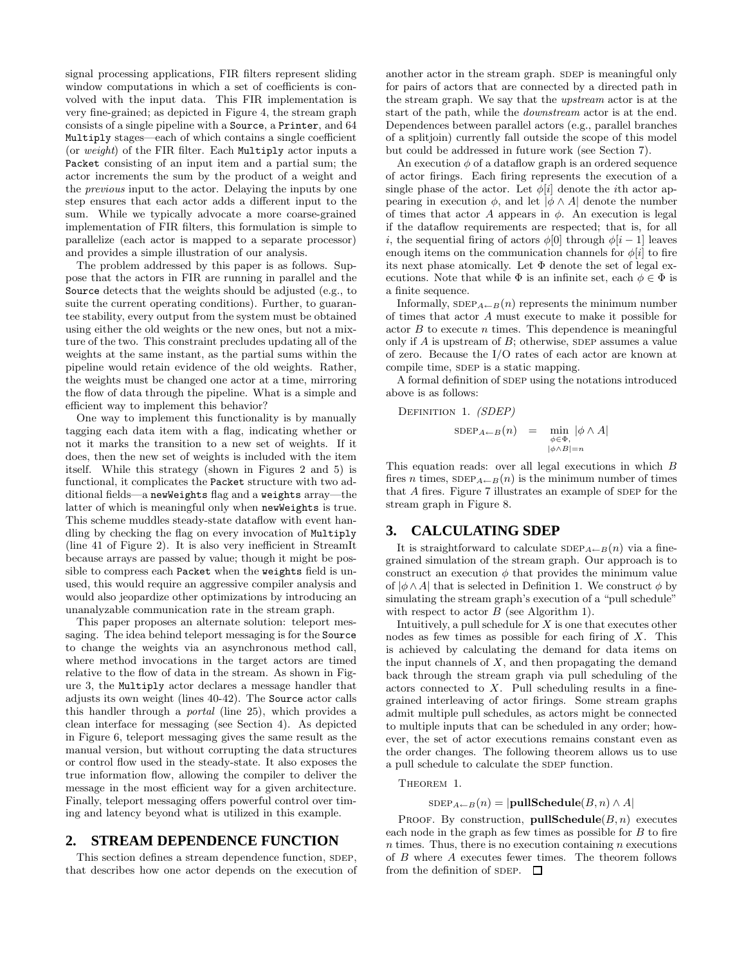signal processing applications, FIR filters represent sliding window computations in which a set of coefficients is convolved with the input data. This FIR implementation is very fine-grained; as depicted in Figure 4, the stream graph consists of a single pipeline with a Source, a Printer, and 64 Multiply stages—each of which contains a single coefficient (or *weight*) of the FIR filter. Each Multiply actor inputs a Packet consisting of an input item and a partial sum; the actor increments the sum by the product of a weight and the *previous* input to the actor. Delaying the inputs by one step ensures that each actor adds a different input to the sum. While we typically advocate a more coarse-grained implementation of FIR filters, this formulation is simple to parallelize (each actor is mapped to a separate processor) and provides a simple illustration of our analysis.

The problem addressed by this paper is as follows. Suppose that the actors in FIR are running in parallel and the Source detects that the weights should be adjusted (e.g., to suite the current operating conditions). Further, to guarantee stability, every output from the system must be obtained using either the old weights or the new ones, but not a mixture of the two. This constraint precludes updating all of the weights at the same instant, as the partial sums within the pipeline would retain evidence of the old weights. Rather, the weights must be changed one actor at a time, mirroring the flow of data through the pipeline. What is a simple and efficient way to implement this behavior?

One way to implement this functionality is by manually tagging each data item with a flag, indicating whether or not it marks the transition to a new set of weights. If it does, then the new set of weights is included with the item itself. While this strategy (shown in Figures 2 and 5) is functional, it complicates the Packet structure with two additional fields—a newWeights flag and a weights array—the latter of which is meaningful only when newWeights is true. This scheme muddles steady-state dataflow with event handling by checking the flag on every invocation of Multiply (line 41 of Figure 2). It is also very inefficient in StreamIt because arrays are passed by value; though it might be possible to compress each Packet when the weights field is unused, this would require an aggressive compiler analysis and would also jeopardize other optimizations by introducing an unanalyzable communication rate in the stream graph.

This paper proposes an alternate solution: teleport messaging. The idea behind teleport messaging is for the Source to change the weights via an asynchronous method call, where method invocations in the target actors are timed relative to the flow of data in the stream. As shown in Figure 3, the Multiply actor declares a message handler that adjusts its own weight (lines 40-42). The Source actor calls this handler through a *portal* (line 25), which provides a clean interface for messaging (see Section 4). As depicted in Figure 6, teleport messaging gives the same result as the manual version, but without corrupting the data structures or control flow used in the steady-state. It also exposes the true information flow, allowing the compiler to deliver the message in the most efficient way for a given architecture. Finally, teleport messaging offers powerful control over timing and latency beyond what is utilized in this example.

#### **2. STREAM DEPENDENCE FUNCTION**

This section defines a stream dependence function, SDEP, that describes how one actor depends on the execution of another actor in the stream graph. SDEP is meaningful only for pairs of actors that are connected by a directed path in the stream graph. We say that the *upstream* actor is at the start of the path, while the *downstream* actor is at the end. Dependences between parallel actors (e.g., parallel branches of a splitjoin) currently fall outside the scope of this model but could be addressed in future work (see Section 7).

An execution  $\phi$  of a dataflow graph is an ordered sequence of actor firings. Each firing represents the execution of a single phase of the actor. Let  $\phi[i]$  denote the *i*th actor appearing in execution  $\phi$ , and let  $|\phi \wedge A|$  denote the number of times that actor A appears in  $\phi$ . An execution is legal if the dataflow requirements are respected; that is, for all i, the sequential firing of actors  $\phi[0]$  through  $\phi[i-1]$  leaves enough items on the communication channels for  $\phi[i]$  to fire its next phase atomically. Let  $\Phi$  denote the set of legal executions. Note that while  $\Phi$  is an infinite set, each  $\phi \in \Phi$  is a finite sequence.

Informally,  $SDEP_{A\leftarrow B}(n)$  represents the minimum number of times that actor A must execute to make it possible for actor  $B$  to execute  $n$  times. This dependence is meaningful only if  $A$  is upstream of  $B$ ; otherwise, SDEP assumes a value of zero. Because the I/O rates of each actor are known at compile time, SDEP is a static mapping.

A formal definition of SDEP using the notations introduced above is as follows:

Definition 1. *(SDEP)*

$$
\text{SDEP}_{A \leftarrow B}(n) = \min_{\substack{\phi \in \Phi, \\ |\phi \land B| = n}} |\phi \land A|
$$

This equation reads: over all legal executions in which B fires n times,  $SDEP_{A\leftarrow B}(n)$  is the minimum number of times that  $A$  fires. Figure 7 illustrates an example of SDEP for the stream graph in Figure 8.

#### **3. CALCULATING SDEP**

It is straightforward to calculate  $SDEP_{A\leftarrow B}(n)$  via a finegrained simulation of the stream graph. Our approach is to construct an execution  $\phi$  that provides the minimum value of  $|\phi \wedge A|$  that is selected in Definition 1. We construct  $\phi$  by simulating the stream graph's execution of a "pull schedule" with respect to actor  $B$  (see Algorithm 1).

Intuitively, a pull schedule for  $X$  is one that executes other nodes as few times as possible for each firing of X. This is achieved by calculating the demand for data items on the input channels of  $X$ , and then propagating the demand back through the stream graph via pull scheduling of the actors connected to X. Pull scheduling results in a finegrained interleaving of actor firings. Some stream graphs admit multiple pull schedules, as actors might be connected to multiple inputs that can be scheduled in any order; however, the set of actor executions remains constant even as the order changes. The following theorem allows us to use a pull schedule to calculate the SDEP function.

THEOREM 1.

#### $SDEP_{A\leftarrow B}(n) = |$ **pullSchedule** $(B, n) \wedge A|$

PROOF. By construction, **pullSchedule** $(B, n)$  executes each node in the graph as few times as possible for  $B$  to fire  $n$  times. Thus, there is no execution containing  $n$  executions of B where A executes fewer times. The theorem follows from the definition of SDEP.  $\Box$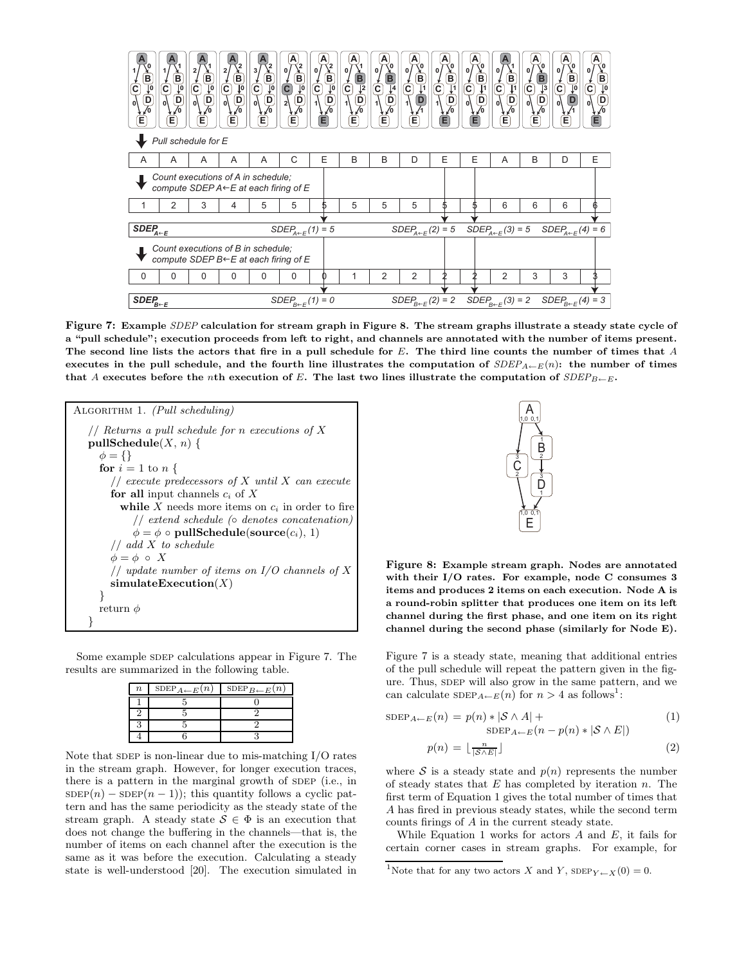

**Figure 7: Example** *SDEP* **calculation for stream graph in Figure 8. The stream graphs illustrate a steady state cycle of a "pull schedule"; execution proceeds from left to right, and channels are annotated with the number of items present. The second line lists the actors that fire in a pull schedule for** *E***. The third line counts the number of times that** *A* executes in the pull schedule, and the fourth line illustrates the computation of  $SDEP_{A\leftarrow E}(n)$ : the number of times **that** *A* executes before the *n*<sup>th</sup> execution of *E*. The last two lines illustrate the computation of  $SDEP_{B\leftarrow E}$ .



Some example SDEP calculations appear in Figure 7. The results are summarized in the following table.

| $\boldsymbol{n}$ | $SDEP_{A \leftarrow E}(n)$ | $SDEP_{B\leftarrow E}(n)$ |
|------------------|----------------------------|---------------------------|
|                  |                            |                           |
|                  |                            |                           |
|                  |                            |                           |
|                  |                            |                           |

Note that SDEP is non-linear due to mis-matching  $I/O$  rates in the stream graph. However, for longer execution traces, there is a pattern in the marginal growth of SDEP (i.e., in  $SDEF(n) - SDEF(n - 1)$ ; this quantity follows a cyclic pattern and has the same periodicity as the steady state of the stream graph. A steady state  $S \in \Phi$  is an execution that does not change the buffering in the channels—that is, the number of items on each channel after the execution is the same as it was before the execution. Calculating a steady state is well-understood [20]. The execution simulated in



**Figure 8: Example stream graph. Nodes are annotated with their I/O rates. For example, node C consumes 3 items and produces 2 items on each execution. Node A is a round-robin splitter that produces one item on its left channel during the first phase, and one item on its right channel during the second phase (similarly for Node E).**

Figure 7 is a steady state, meaning that additional entries of the pull schedule will repeat the pattern given in the figure. Thus, SDEP will also grow in the same pattern, and we can calculate  $SDEP_{A \leftarrow E}(n)$  for  $n > 4$  as follows<sup>1</sup>:

$$
SDEP_{A \leftarrow E}(n) = p(n) * |S \wedge A| +
$$
  
\n
$$
SDEP_{A \leftarrow E}(n - p(n) * |S \wedge E|)
$$
 (1)

$$
p(n) = \lfloor \frac{n}{|\mathcal{S} \wedge E|} \rfloor \tag{2}
$$

where  $S$  is a steady state and  $p(n)$  represents the number of steady states that  $E$  has completed by iteration  $n$ . The first term of Equation 1 gives the total number of times that A has fired in previous steady states, while the second term counts firings of A in the current steady state.

While Equation 1 works for actors  $A$  and  $E$ , it fails for certain corner cases in stream graphs. For example, for

<sup>&</sup>lt;sup>1</sup>Note that for any two actors *X* and *Y*,  $SDEF_{Y \leftarrow X}(0) = 0$ .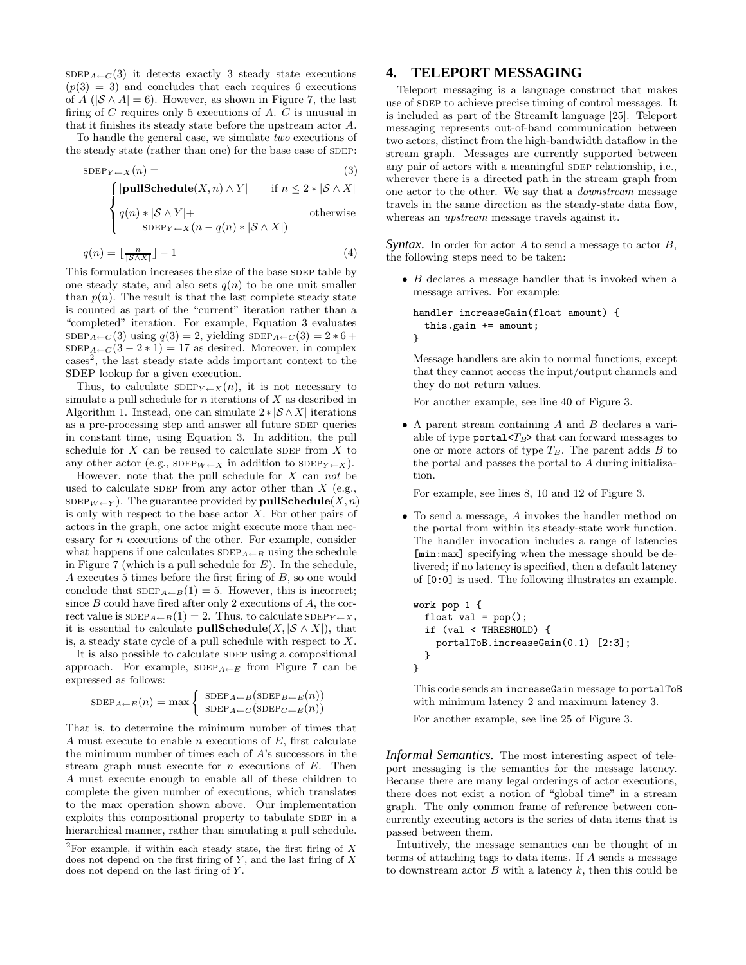$SDEP_{A\leftarrow C}(3)$  it detects exactly 3 steady state executions  $(p(3) = 3)$  and concludes that each requires 6 executions of A ( $|{\mathcal{S}} \wedge A| = 6$ ). However, as shown in Figure 7, the last firing of C requires only 5 executions of A. C is unusual in that it finishes its steady state before the upstream actor A.

To handle the general case, we simulate *two* executions of the steady state (rather than one) for the base case of SDEP:

the contract of the contract of the contract of the contract of the contract of the contract of the contract of

$$
SDEP_{Y \leftarrow X}(n) = \tag{3}
$$

$$
\begin{cases}\n|\mathbf{pullSchedule}(X, n) \wedge Y| & \text{if } n \leq 2 * |\mathcal{S} \wedge X| \\
q(n) * |\mathcal{S} \wedge Y| + \text{otherwise} \\
\text{SDEP}_{Y \leftarrow X}(n - q(n) * |\mathcal{S} \wedge X|)\n\end{cases}
$$

$$
q(n) = \lfloor \frac{n}{|\mathcal{S} \wedge X|} \rfloor - 1 \tag{4}
$$

This formulation increases the size of the base SDEP table by one steady state, and also sets  $q(n)$  to be one unit smaller than  $p(n)$ . The result is that the last complete steady state is counted as part of the "current" iteration rather than a "completed" iteration. For example, Equation 3 evaluates  $SDEP_{A\leftarrow C}(3)$  using  $q(3) = 2$ , yielding  $SDEP_{A\leftarrow C}(3) = 2 * 6 +$  $SDEP_{A \leftarrow C}$  $(3 - 2 \times 1) = 17$  as desired. Moreover, in complex cases<sup>2</sup>, the last steady state adds important context to the SDEP lookup for a given execution.

Thus, to calculate  $SDEPy \leftarrow X(n)$ , it is not necessary to simulate a pull schedule for  $n$  iterations of  $X$  as described in Algorithm 1. Instead, one can simulate  $2 * |S \wedge X|$  iterations as a pre-processing step and answer all future SDEP queries in constant time, using Equation 3. In addition, the pull schedule for  $X$  can be reused to calculate SDEP from  $X$  to any other actor (e.g.,  $SDEPy \nightharpoonup X$  in addition to  $SDEPy \nightharpoonup X$ ).

However, note that the pull schedule for X can *not* be used to calculate SDEP from any actor other than  $X$  (e.g.,  $SDEP_{W\leftarrow Y}$ ). The guarantee provided by **pullSchedule** $(X, n)$ is only with respect to the base actor  $X$ . For other pairs of actors in the graph, one actor might execute more than necessary for  $n$  executions of the other. For example, consider what happens if one calculates  $SDEP_{A\leftarrow B}$  using the schedule in Figure 7 (which is a pull schedule for  $E$ ). In the schedule, A executes 5 times before the first firing of B, so one would conclude that  $SDEP_{A\leftarrow B}(1) = 5$ . However, this is incorrect; since  $B$  could have fired after only 2 executions of  $A$ , the correct value is  $SDEP_{A\leftarrow B}(1) = 2$ . Thus, to calculate  $SDEP_{Y\leftarrow X}$ , it is essential to calculate **pullSchedule** $(X, |S \wedge X|)$ , that is, a steady state cycle of a pull schedule with respect to  $X$ .

It is also possible to calculate SDEP using a compositional approach. For example,  $SDEP_{A \leftarrow E}$  from Figure 7 can be expressed as follows:

$$
SDEP_{A \leftarrow E}(n) = \max \begin{cases} \text{SDEP}_{A \leftarrow B}(\text{SDEP}_{B \leftarrow E}(n)) \\ \text{SDEP}_{A \leftarrow C}(\text{SDEP}_{C \leftarrow E}(n)) \end{cases}
$$

That is, to determine the minimum number of times that  $A$  must execute to enable  $n$  executions of  $E,$  first calculate the minimum number of times each of A's successors in the stream graph must execute for  $n$  executions of  $E$ . Then A must execute enough to enable all of these children to complete the given number of executions, which translates to the max operation shown above. Our implementation exploits this compositional property to tabulate SDEP in a hierarchical manner, rather than simulating a pull schedule.

#### **4. TELEPORT MESSAGING**

Teleport messaging is a language construct that makes use of SDEP to achieve precise timing of control messages. It is included as part of the StreamIt language [25]. Teleport messaging represents out-of-band communication between two actors, distinct from the high-bandwidth dataflow in the stream graph. Messages are currently supported between any pair of actors with a meaningful SDEP relationship, i.e., wherever there is a directed path in the stream graph from one actor to the other. We say that a *downstream* message travels in the same direction as the steady-state data flow, whereas an *upstream* message travels against it.

*Syntax.* In order for actor A to send a message to actor B, the following steps need to be taken:

 $\bullet$  B declares a message handler that is invoked when a message arrives. For example:

```
handler increaseGain(float amount) {
  this.gain += amount;
}
```
Message handlers are akin to normal functions, except that they cannot access the input/output channels and they do not return values.

For another example, see line 40 of Figure 3.

• A parent stream containing  $A$  and  $B$  declares a variable of type portal $\langle T_B \rangle$  that can forward messages to one or more actors of type  $T_B$ . The parent adds B to the portal and passes the portal to A during initialization.

For example, see lines 8, 10 and 12 of Figure 3.

• To send a message, A invokes the handler method on the portal from within its steady-state work function. The handler invocation includes a range of latencies [min:max] specifying when the message should be delivered; if no latency is specified, then a default latency of [0:0] is used. The following illustrates an example.

```
work pop 1 {
  float val = pop();
  if (val < THRESHOLD) {
    portalToB.increaseGain(0.1) [2:3];
  }
}
```
This code sends an increaseGain message to portalToB with minimum latency 2 and maximum latency 3.

For another example, see line 25 of Figure 3.

*Informal Semantics.* The most interesting aspect of teleport messaging is the semantics for the message latency. Because there are many legal orderings of actor executions, there does not exist a notion of "global time" in a stream graph. The only common frame of reference between concurrently executing actors is the series of data items that is passed between them.

Intuitively, the message semantics can be thought of in terms of attaching tags to data items. If A sends a message to downstream actor  $B$  with a latency  $k$ , then this could be

<sup>2</sup>For example, if within each steady state, the first firing of *X* does not depend on the first firing of *Y* , and the last firing of *X* does not depend on the last firing of *Y* .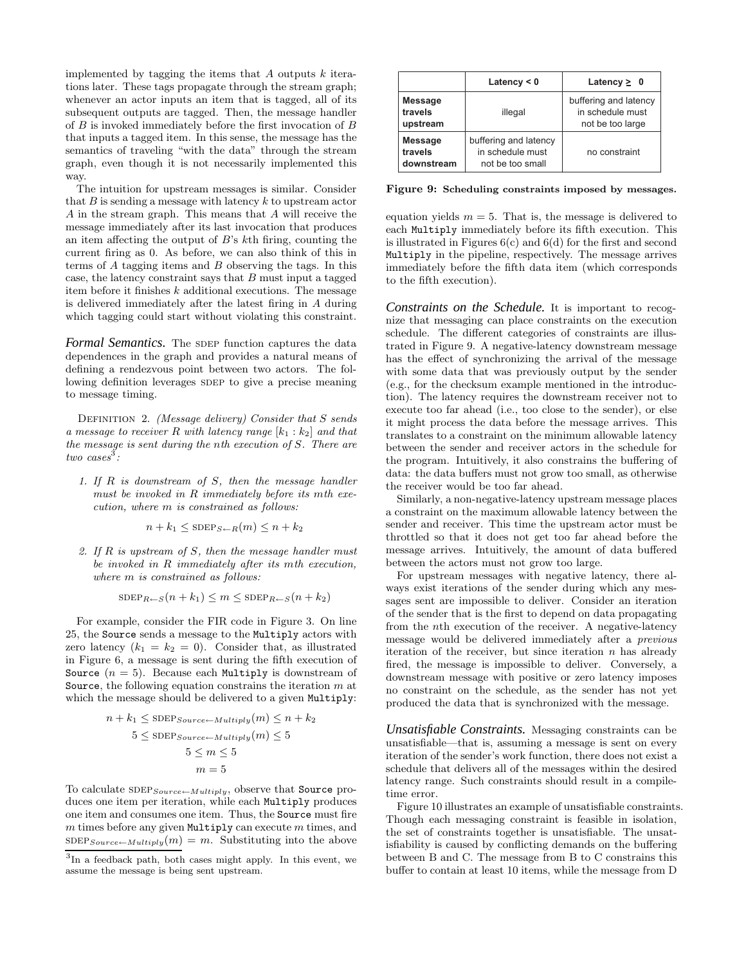implemented by tagging the items that  $A$  outputs  $k$  iterations later. These tags propagate through the stream graph; whenever an actor inputs an item that is tagged, all of its subsequent outputs are tagged. Then, the message handler of B is invoked immediately before the first invocation of B that inputs a tagged item. In this sense, the message has the semantics of traveling "with the data" through the stream graph, even though it is not necessarily implemented this way.

The intuition for upstream messages is similar. Consider that  $B$  is sending a message with latency  $k$  to upstream actor A in the stream graph. This means that A will receive the message immediately after its last invocation that produces an item affecting the output of  $B$ 's  $k$ th firing, counting the current firing as 0. As before, we can also think of this in terms of A tagging items and B observing the tags. In this case, the latency constraint says that  $B$  must input a tagged item before it finishes  $k$  additional executions. The message is delivered immediately after the latest firing in A during which tagging could start without violating this constraint.

*Formal Semantics.* The space function captures the data dependences in the graph and provides a natural means of defining a rendezvous point between two actors. The following definition leverages SDEP to give a precise meaning to message timing.

Definition 2. *(Message delivery) Consider that* S *sends a message to receiver* R *with latency range* [k<sup>1</sup> : k2] *and that the message is sent during the* n*th execution of* S*. There are two cases*<sup>3</sup>*:*

*1. If* R *is downstream of* S*, then the message handler must be invoked in* R *immediately before its* m*th execution, where* m *is constrained as follows:*

$$
n + k_1 \leq \text{SDEP}_{S \leftarrow R}(m) \leq n + k_2
$$

*2. If* R *is upstream of* S*, then the message handler must be invoked in* R *immediately after its* m*th execution, where* m *is constrained as follows:*

$$
SDEP_{R\leftarrow S}(n+k_1) \le m \le SDEP_{R\leftarrow S}(n+k_2)
$$

For example, consider the FIR code in Figure 3. On line 25, the Source sends a message to the Multiply actors with zero latency  $(k_1 = k_2 = 0)$ . Consider that, as illustrated in Figure 6, a message is sent during the fifth execution of Source  $(n = 5)$ . Because each Multiply is downstream of Source, the following equation constrains the iteration  $m$  at which the message should be delivered to a given Multiply:

$$
n + k_1 \leq \text{SDEP}_{Source \leftarrow Multiply}(m) \leq n + k_2
$$

$$
5 \leq \text{SDEP}_{Source \leftarrow Multiply}(m) \leq 5
$$

$$
5 \leq m \leq 5
$$

$$
m = 5
$$

To calculate  $\text{SDEP}_{Source \leftarrow Multiple}$ , observe that Source produces one item per iteration, while each Multiply produces one item and consumes one item. Thus, the Source must fire  $m$  times before any given Multiply can execute  $m$  times, and  $SDEP_{Source \leftarrow Multiply}(m) = m$ . Substituting into the above

|                                         | Latency $< 0$                                                 | Latency $\geq 0$                                              |
|-----------------------------------------|---------------------------------------------------------------|---------------------------------------------------------------|
| <b>Message</b><br>travels<br>upstream   | illegal                                                       | buffering and latency<br>in schedule must<br>not be too large |
| <b>Message</b><br>travels<br>downstream | buffering and latency<br>in schedule must<br>not be too small | no constraint                                                 |

**Figure 9: Scheduling constraints imposed by messages.**

equation yields  $m = 5$ . That is, the message is delivered to each Multiply immediately before its fifth execution. This is illustrated in Figures  $6(c)$  and  $6(d)$  for the first and second Multiply in the pipeline, respectively. The message arrives immediately before the fifth data item (which corresponds to the fifth execution).

*Constraints on the Schedule.* It is important to recognize that messaging can place constraints on the execution schedule. The different categories of constraints are illustrated in Figure 9. A negative-latency downstream message has the effect of synchronizing the arrival of the message with some data that was previously output by the sender (e.g., for the checksum example mentioned in the introduction). The latency requires the downstream receiver not to execute too far ahead (i.e., too close to the sender), or else it might process the data before the message arrives. This translates to a constraint on the minimum allowable latency between the sender and receiver actors in the schedule for the program. Intuitively, it also constrains the buffering of data: the data buffers must not grow too small, as otherwise the receiver would be too far ahead.

Similarly, a non-negative-latency upstream message places a constraint on the maximum allowable latency between the sender and receiver. This time the upstream actor must be throttled so that it does not get too far ahead before the message arrives. Intuitively, the amount of data buffered between the actors must not grow too large.

For upstream messages with negative latency, there always exist iterations of the sender during which any messages sent are impossible to deliver. Consider an iteration of the sender that is the first to depend on data propagating from the nth execution of the receiver. A negative-latency message would be delivered immediately after a *previous* iteration of the receiver, but since iteration  $n$  has already fired, the message is impossible to deliver. Conversely, a downstream message with positive or zero latency imposes no constraint on the schedule, as the sender has not yet produced the data that is synchronized with the message.

*Unsatisfiable Constraints.* Messaging constraints can be unsatisfiable—that is, assuming a message is sent on every iteration of the sender's work function, there does not exist a schedule that delivers all of the messages within the desired latency range. Such constraints should result in a compiletime error.

Figure 10 illustrates an example of unsatisfiable constraints. Though each messaging constraint is feasible in isolation, the set of constraints together is unsatisfiable. The unsatisfiability is caused by conflicting demands on the buffering between B and C. The message from B to C constrains this buffer to contain at least 10 items, while the message from D

 $^3{\rm In}$  a feedback path, both cases might apply. In this event, we assume the message is being sent upstream.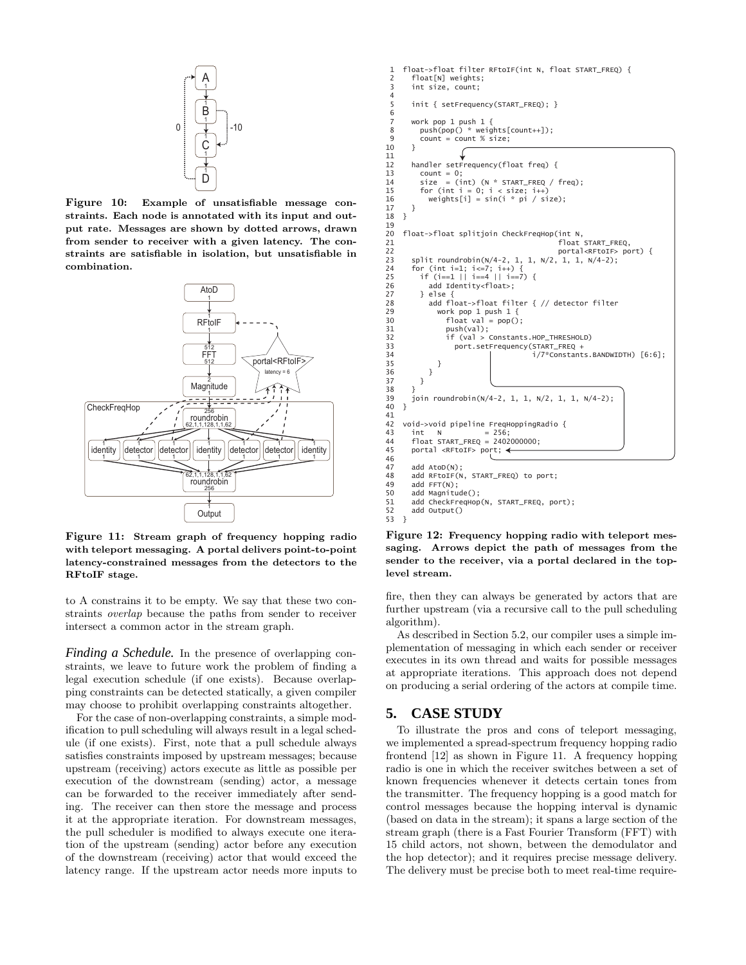

**Figure 10: Example of unsatisfiable message constraints. Each node is annotated with its input and output rate. Messages are shown by dotted arrows, drawn from sender to receiver with a given latency. The constraints are satisfiable in isolation, but unsatisfiable in combination.**



**Figure 11: Stream graph of frequency hopping radio with teleport messaging. A portal delivers point-to-point latency-constrained messages from the detectors to the RFtoIF stage.**

to A constrains it to be empty. We say that these two constraints *overlap* because the paths from sender to receiver intersect a common actor in the stream graph.

*Finding a Schedule.* In the presence of overlapping constraints, we leave to future work the problem of finding a legal execution schedule (if one exists). Because overlapping constraints can be detected statically, a given compiler may choose to prohibit overlapping constraints altogether.

For the case of non-overlapping constraints, a simple modification to pull scheduling will always result in a legal schedule (if one exists). First, note that a pull schedule always satisfies constraints imposed by upstream messages; because upstream (receiving) actors execute as little as possible per execution of the downstream (sending) actor, a message can be forwarded to the receiver immediately after sending. The receiver can then store the message and process it at the appropriate iteration. For downstream messages, the pull scheduler is modified to always execute one iteration of the upstream (sending) actor before any execution of the downstream (receiving) actor that would exceed the latency range. If the upstream actor needs more inputs to

```
 1 float->float filter RFtoIF(int N, float START_FREQ) {
       2 float[N] weights;<br>3 int size. count:
               int size, count;
       \frac{4}{5}init { setFrequency(START_FREQ); }
        6
               7 work pop 1 push 1 {
      8 push(pop() * weights[count++]);<br>9 count = count % size;
              \frac{1}{3} count = count % size;
     10 \,\begin{array}{c} 11 \\ 12 \end{array}12 handler setFrequency(float freq) {<br>13 count = 0;
     13 count = 0;<br>14 size = (i)size = (int) (N * STATE_FREQ / freq);15 for (int i = 0; i < size; i++)<br>16 weights[i] = sin(i * pi / si
              weights[i] = sin(i * pi / size);\begin{array}{cc} 17 \\ 18 \end{array} 18 }
     19<br>20<br>21
           float->float splitjoin CheckFreqHop(int N,
     21 float START_FREQ,<br>22 portal<RFtoIF> po
     22 portal<RFtoIF> port) {<br>
23 split roundrobin(N/4-2 1 1 N/2 1 1 N/4-2) ·
               split roundrobin(N/4-2, 1, 1, N/2, 1, 1, N/4-2);
 24 for (int i=1; i<=7; i++) {
 25 if (i==1 || i==4 || i==7) {
     26 add Identity<float>;<br>27 } else {
     27 } else {<br>28 add fl
     28 add float->float filter { // detector filter<br>29 work pop 1 push 1 {
     29 work pop 1 push 1<br>30 \frac{1}{2} \frac{1}{2} \frac{1}{2} \frac{1}{2} \frac{1}{2} \frac{1}{2} \frac{1}{2} \frac{1}{2} \frac{1}{2} \frac{1}{2} \frac{1}{2} \frac{1}{2} \frac{1}{2} \frac{1}{2} \frac{1}{2} \frac{1}{2} \frac{1}{2} \frac{1}{2} \frac{1}{2} \frac{130 float val = pop();<br>31 push(val):
     31 push(val);<br>32 if (val >
     32 if (val > Constants.HOP_THRESHOLD)<br>33 port.setFrequency(START_FREQ +<br>34 | i/7*Constants.
                              port.setFrequency(START_FREQ +
                                                           34 i/7*Constants.BANDWIDTH) [6:6];
     \begin{array}{ccc} 35 & & & \end{array}<br>36 }
      36 }
      37 }
     38<br>39
           join roundrobin(N/4-2, 1, 1, N/2, 1, 1, N/4-2);
      40 }
      41
     42 void->void pipeline FreqHoppingRadio {<br>43 int N = 256:
 43 int N = 256;
 44 float START_FREQ = 2402000000;
      45 portal <RFtoIF> port;
      46
     47 add AtoD(N);<br>48 add RFtoIF(N
     48 add RFtoIF(N, START_FREQ) to port;<br>49 add FFT(N):
     49 add FFT(N);<br>50 add Magnitu
     50 add Magnitude();<br>51 add CheckFreqHop
               add CheckFreqHop(N, START_FREQ, port);
      52 add Output()
      53 }
```
**Figure 12: Frequency hopping radio with teleport messaging. Arrows depict the path of messages from the sender to the receiver, via a portal declared in the toplevel stream.**

fire, then they can always be generated by actors that are further upstream (via a recursive call to the pull scheduling algorithm).

As described in Section 5.2, our compiler uses a simple implementation of messaging in which each sender or receiver executes in its own thread and waits for possible messages at appropriate iterations. This approach does not depend on producing a serial ordering of the actors at compile time.

# **5. CASE STUDY**

To illustrate the pros and cons of teleport messaging, we implemented a spread-spectrum frequency hopping radio frontend [12] as shown in Figure 11. A frequency hopping radio is one in which the receiver switches between a set of known frequencies whenever it detects certain tones from the transmitter. The frequency hopping is a good match for control messages because the hopping interval is dynamic (based on data in the stream); it spans a large section of the stream graph (there is a Fast Fourier Transform (FFT) with 15 child actors, not shown, between the demodulator and the hop detector); and it requires precise message delivery. The delivery must be precise both to meet real-time require-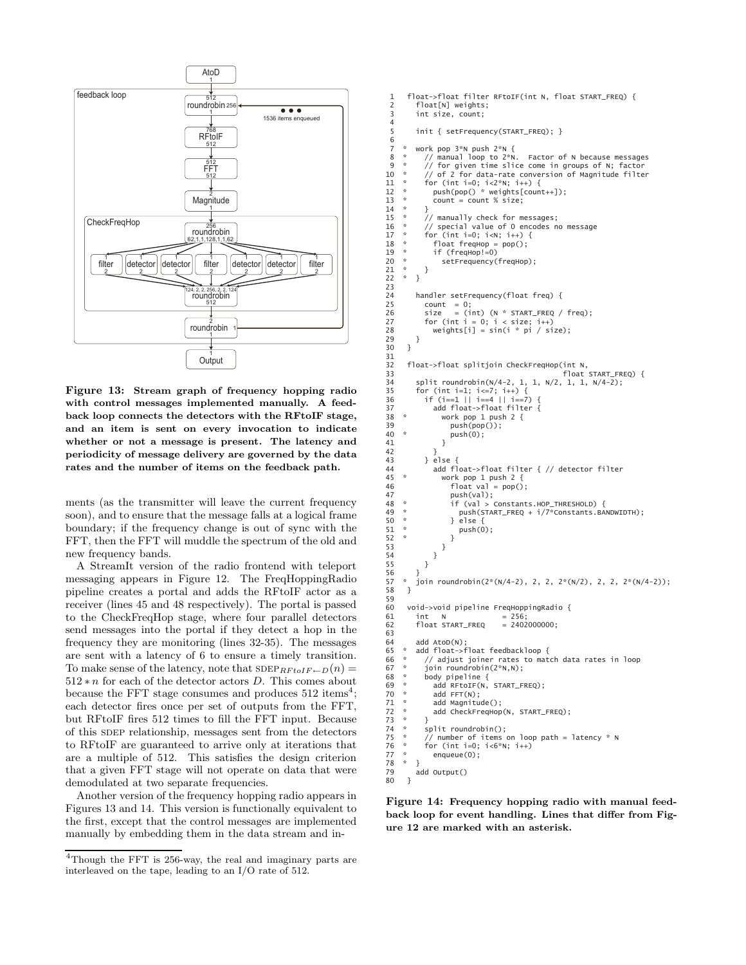

**Figure 13: Stream graph of frequency hopping radio with control messages implemented manually. A feedback loop connects the detectors with the RFtoIF stage, and an item is sent on every invocation to indicate whether or not a message is present. The latency and periodicity of message delivery are governed by the data rates and the number of items on the feedback path.**

ments (as the transmitter will leave the current frequency soon), and to ensure that the message falls at a logical frame boundary; if the frequency change is out of sync with the FFT, then the FFT will muddle the spectrum of the old and new frequency bands.

A StreamIt version of the radio frontend with teleport messaging appears in Figure 12. The FreqHoppingRadio pipeline creates a portal and adds the RFtoIF actor as a receiver (lines 45 and 48 respectively). The portal is passed to the CheckFreqHop stage, where four parallel detectors send messages into the portal if they detect a hop in the frequency they are monitoring (lines 32-35). The messages are sent with a latency of 6 to ensure a timely transition. To make sense of the latency, note that  $SDEP_{RF toIF \leftarrow D}(n) =$  $512 * n$  for each of the detector actors D. This comes about because the FFT stage consumes and produces  $512$  items<sup>4</sup>; each detector fires once per set of outputs from the FFT, but RFtoIF fires 512 times to fill the FFT input. Because of this SDEP relationship, messages sent from the detectors to RFtoIF are guaranteed to arrive only at iterations that are a multiple of 512. This satisfies the design criterion that a given FFT stage will not operate on data that were demodulated at two separate frequencies.

Another version of the frequency hopping radio appears in Figures 13 and 14. This version is functionally equivalent to the first, except that the control messages are implemented manually by embedding them in the data stream and in-

```
 1 float->float filter RFtoIF(int N, float START_FREQ) {
               float[N] weights;
       3 int size, count;
      \frac{4}{5} 5 init { setFrequency(START_FREQ); }
      6<br>7
      7 * work pop 3*N push 2*N {<br>8 * // manual loop to 2*N.
      8 * // manual loop to 2*N. Factor of N because messages<br>9 * // for given time slice come in groups of N: factor
     9 * // for given time slice come in groups of N; factor 10 * // of 2 for data-rate conversion of Magnitude filter
     10 * \frac{1}{2} of 2 for data-rate conversion of Magnitude filter<br>11 * for (int i=0; i<2*N; i++) {
 11 * for (int i=0; i<2*N; i++) {
 12 * push(pop() * weights[count++]);
     13 * count = count % size;
     \frac{14}{15}// manually check for messages;
 16 * // special value of 0 encodes no message
 17 * for (int i=0; i<N; i++) {
     18 * float freqHop = pop();<br>19 * if (freqHop!=0)
     19 * if (freqHop!=0)<br>20 * setFrequency(
           * setFrequency(freqHop);<br>* }
     21 * 22 * 322
     \frac{23}{24}24 handler setFrequency(float freq) {<br>25 count = 0:
 25 count = 0;
 26 size = (int) (N * START_FREQ / freq);
 27 for (int i = 0; i < size; i++)
     27 for (int i = 0; i < size; i++)<br>
28 weights[i] = sin(i * pi / size);<br>
29 }
     \begin{matrix} 29 \\ 30 \end{matrix}\frac{20}{30} 31
      32 float->float splitjoin CheckFreqHop(int N,
     33<br>33 float START_FREQ) {<br>34 split roundrobin(N/4-2, 1, 1, N/2, 1, 1, N/4-2):
     34 split roundrobin(N/4-2, 1, 1, N/2, 1, 1, N/4-2);<br>35 for (int i=1: i <= 7: i++) {
 35 for (int i=1; i<=7; i++) {
 36 if (i==1 || i==4 || i==7) {
     37 add float->float filter {<br>38 * work non 1 nush 2 {
                       work pop 1 push 2 {
     39 push(pop());<br>40 * push(0);
                           push(0);\begin{array}{ccc} 41 & & & \frac{1}{2} \\ 42 & & & \frac{1}{2} \end{array}42 \\
 43 43 } else {
           add float->float filter { // detector filter<br>* work non 1 nush 2 {
 45 * work pop 1 push 2 {
 46 float val = pop();
     47 push(val);<br>48 * if (val >
                           if (val > Constants.HOP_THRESHOLD) {
     49 * push(START_FREQ + i/7*Constants.BANDWIDTH);<br>50 * } else {
     50 * } else<br>51 * } mush()
                              push(0):
     \begin{matrix} 52 & * & * \\ 53 & * & * \end{matrix} 53 }
 54 }
 55 }
      56 }
            \frac{3}{5} join roundrobin(2*(N/4-2), 2, 2, 2*(N/2), 2, 2, 2*(N/4-2));
      58 }
     59<br>60
     60 void->void pipeline FreqHoppingRadio {<br>61 int N = 256;
               int N = 256;<br>float START_FREQ = 2402000000;
     62 float START FREQ
      63
               add AtoD(N);
      65 * add float->float feedbackloop {
     66 * // adjust joiner rates to match data rates in loop<br>67 * ioin roundrobin(2*N.N):
                   .<br>join roundrobin(2*N,N);
 68 * body pipeline {
 69 * add RFtoIF(N, START_FREQ);
     70 \times add FFT(N);<br>71 \times add Magnitu
     71 * add Magnitude();<br>72 * add CheckFreqHop
                     add CheckFreqHop(N, START_FREQ);
     \frac{73}{74}74 * split roundrobin();<br>75 * // number of items
     75 * // number of items on loop path = latency * N<br>76 * for (int i=0; i<6*N; i++)
     76 * for (int i=0; i<6*N; i++)<br>77 * enqueue(0):
               \frac{1}{3} enqueue(0);
     \frac{78}{79}\frac{1}{3} add Output()
     80
```
**Figure 14: Frequency hopping radio with manual feedback loop for event handling. Lines that differ from Figure 12 are marked with an asterisk.**

 $^4\mathrm{Though}$  the FFT is 256-way, the real and imaginary parts are interleaved on the tape, leading to an I/O rate of 512.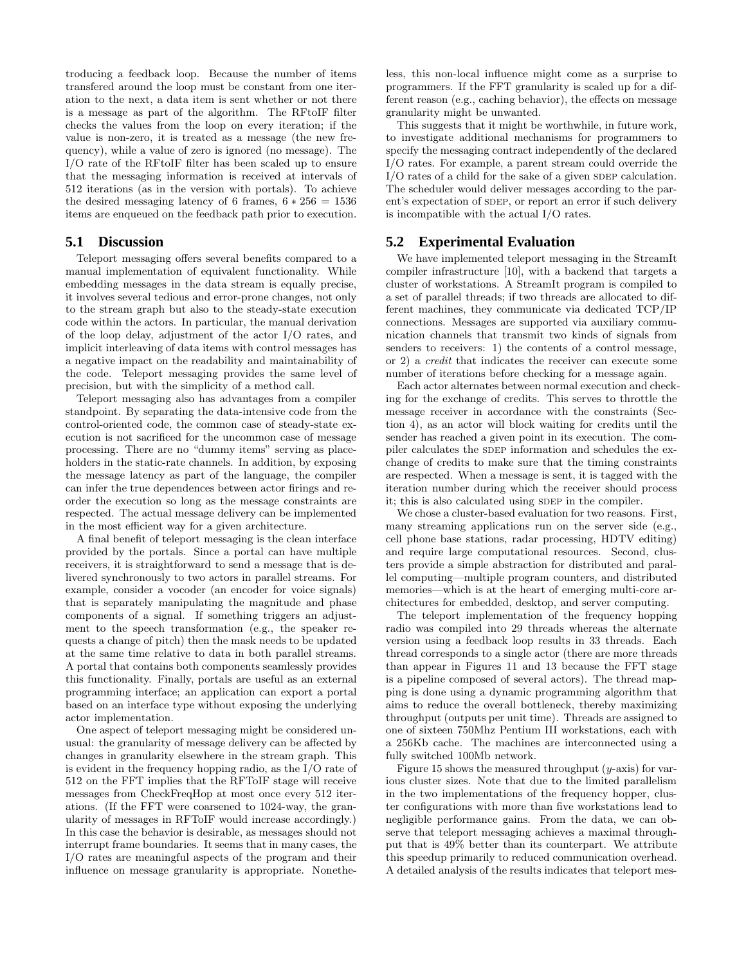troducing a feedback loop. Because the number of items transfered around the loop must be constant from one iteration to the next, a data item is sent whether or not there is a message as part of the algorithm. The RFtoIF filter checks the values from the loop on every iteration; if the value is non-zero, it is treated as a message (the new frequency), while a value of zero is ignored (no message). The I/O rate of the RFtoIF filter has been scaled up to ensure that the messaging information is received at intervals of 512 iterations (as in the version with portals). To achieve the desired messaging latency of 6 frames,  $6 * 256 = 1536$ items are enqueued on the feedback path prior to execution.

# **5.1 Discussion**

Teleport messaging offers several benefits compared to a manual implementation of equivalent functionality. While embedding messages in the data stream is equally precise, it involves several tedious and error-prone changes, not only to the stream graph but also to the steady-state execution code within the actors. In particular, the manual derivation of the loop delay, adjustment of the actor I/O rates, and implicit interleaving of data items with control messages has a negative impact on the readability and maintainability of the code. Teleport messaging provides the same level of precision, but with the simplicity of a method call.

Teleport messaging also has advantages from a compiler standpoint. By separating the data-intensive code from the control-oriented code, the common case of steady-state execution is not sacrificed for the uncommon case of message processing. There are no "dummy items" serving as placeholders in the static-rate channels. In addition, by exposing the message latency as part of the language, the compiler can infer the true dependences between actor firings and reorder the execution so long as the message constraints are respected. The actual message delivery can be implemented in the most efficient way for a given architecture.

A final benefit of teleport messaging is the clean interface provided by the portals. Since a portal can have multiple receivers, it is straightforward to send a message that is delivered synchronously to two actors in parallel streams. For example, consider a vocoder (an encoder for voice signals) that is separately manipulating the magnitude and phase components of a signal. If something triggers an adjustment to the speech transformation (e.g., the speaker requests a change of pitch) then the mask needs to be updated at the same time relative to data in both parallel streams. A portal that contains both components seamlessly provides this functionality. Finally, portals are useful as an external programming interface; an application can export a portal based on an interface type without exposing the underlying actor implementation.

One aspect of teleport messaging might be considered unusual: the granularity of message delivery can be affected by changes in granularity elsewhere in the stream graph. This is evident in the frequency hopping radio, as the I/O rate of 512 on the FFT implies that the RFToIF stage will receive messages from CheckFreqHop at most once every 512 iterations. (If the FFT were coarsened to 1024-way, the granularity of messages in RFToIF would increase accordingly.) In this case the behavior is desirable, as messages should not interrupt frame boundaries. It seems that in many cases, the I/O rates are meaningful aspects of the program and their influence on message granularity is appropriate. Nonetheless, this non-local influence might come as a surprise to programmers. If the FFT granularity is scaled up for a different reason (e.g., caching behavior), the effects on message granularity might be unwanted.

This suggests that it might be worthwhile, in future work, to investigate additional mechanisms for programmers to specify the messaging contract independently of the declared I/O rates. For example, a parent stream could override the  $I/O$  rates of a child for the sake of a given SDEP calculation. The scheduler would deliver messages according to the parent's expectation of SDEP, or report an error if such delivery is incompatible with the actual I/O rates.

#### **5.2 Experimental Evaluation**

We have implemented teleport messaging in the StreamIt compiler infrastructure [10], with a backend that targets a cluster of workstations. A StreamIt program is compiled to a set of parallel threads; if two threads are allocated to different machines, they communicate via dedicated TCP/IP connections. Messages are supported via auxiliary communication channels that transmit two kinds of signals from senders to receivers: 1) the contents of a control message, or 2) a *credit* that indicates the receiver can execute some number of iterations before checking for a message again.

Each actor alternates between normal execution and checking for the exchange of credits. This serves to throttle the message receiver in accordance with the constraints (Section 4), as an actor will block waiting for credits until the sender has reached a given point in its execution. The compiler calculates the SDEP information and schedules the exchange of credits to make sure that the timing constraints are respected. When a message is sent, it is tagged with the iteration number during which the receiver should process it; this is also calculated using SDEP in the compiler.

We chose a cluster-based evaluation for two reasons. First, many streaming applications run on the server side (e.g., cell phone base stations, radar processing, HDTV editing) and require large computational resources. Second, clusters provide a simple abstraction for distributed and parallel computing—multiple program counters, and distributed memories—which is at the heart of emerging multi-core architectures for embedded, desktop, and server computing.

The teleport implementation of the frequency hopping radio was compiled into 29 threads whereas the alternate version using a feedback loop results in 33 threads. Each thread corresponds to a single actor (there are more threads than appear in Figures 11 and 13 because the FFT stage is a pipeline composed of several actors). The thread mapping is done using a dynamic programming algorithm that aims to reduce the overall bottleneck, thereby maximizing throughput (outputs per unit time). Threads are assigned to one of sixteen 750Mhz Pentium III workstations, each with a 256Kb cache. The machines are interconnected using a fully switched 100Mb network.

Figure 15 shows the measured throughput  $(y\text{-axis})$  for various cluster sizes. Note that due to the limited parallelism in the two implementations of the frequency hopper, cluster configurations with more than five workstations lead to negligible performance gains. From the data, we can observe that teleport messaging achieves a maximal throughput that is 49% better than its counterpart. We attribute this speedup primarily to reduced communication overhead. A detailed analysis of the results indicates that teleport mes-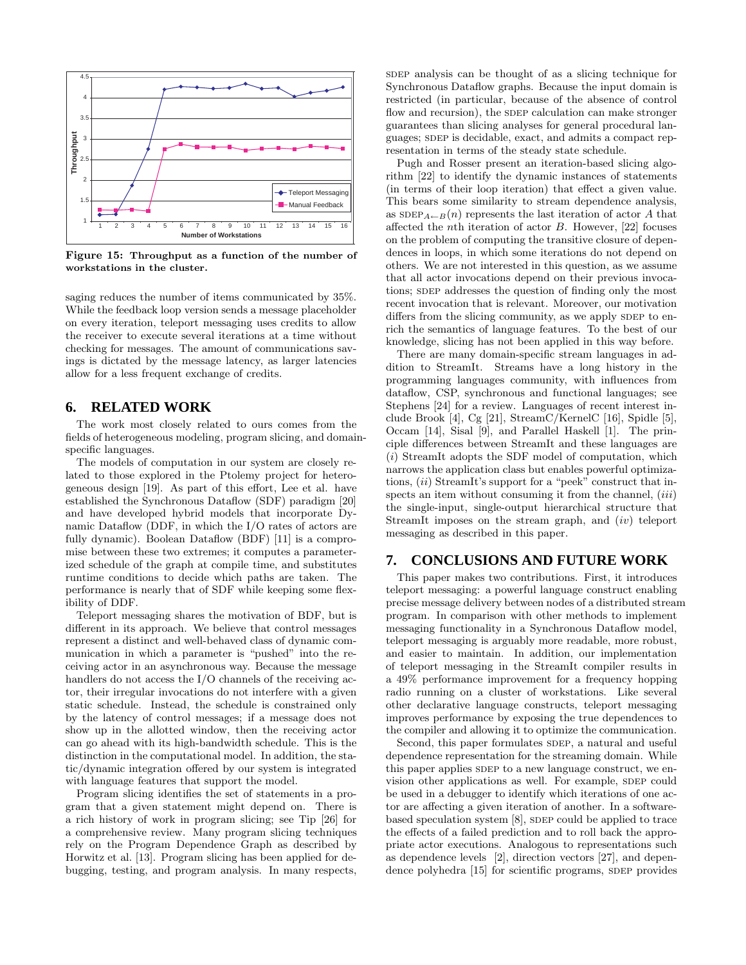

**Figure 15: Throughput as a function of the number of workstations in the cluster.**

saging reduces the number of items communicated by 35%. While the feedback loop version sends a message placeholder on every iteration, teleport messaging uses credits to allow the receiver to execute several iterations at a time without checking for messages. The amount of communications savings is dictated by the message latency, as larger latencies allow for a less frequent exchange of credits.

#### **6. RELATED WORK**

The work most closely related to ours comes from the fields of heterogeneous modeling, program slicing, and domainspecific languages.

The models of computation in our system are closely related to those explored in the Ptolemy project for heterogeneous design [19]. As part of this effort, Lee et al. have established the Synchronous Dataflow (SDF) paradigm [20] and have developed hybrid models that incorporate Dynamic Dataflow (DDF, in which the I/O rates of actors are fully dynamic). Boolean Dataflow (BDF) [11] is a compromise between these two extremes; it computes a parameterized schedule of the graph at compile time, and substitutes runtime conditions to decide which paths are taken. The performance is nearly that of SDF while keeping some flexibility of DDF.

Teleport messaging shares the motivation of BDF, but is different in its approach. We believe that control messages represent a distinct and well-behaved class of dynamic communication in which a parameter is "pushed" into the receiving actor in an asynchronous way. Because the message handlers do not access the I/O channels of the receiving actor, their irregular invocations do not interfere with a given static schedule. Instead, the schedule is constrained only by the latency of control messages; if a message does not show up in the allotted window, then the receiving actor can go ahead with its high-bandwidth schedule. This is the distinction in the computational model. In addition, the static/dynamic integration offered by our system is integrated with language features that support the model.

Program slicing identifies the set of statements in a program that a given statement might depend on. There is a rich history of work in program slicing; see Tip [26] for a comprehensive review. Many program slicing techniques rely on the Program Dependence Graph as described by Horwitz et al. [13]. Program slicing has been applied for debugging, testing, and program analysis. In many respects, speep analysis can be thought of as a slicing technique for Synchronous Dataflow graphs. Because the input domain is restricted (in particular, because of the absence of control flow and recursion), the SDEP calculation can make stronger guarantees than slicing analyses for general procedural languages; SDEP is decidable, exact, and admits a compact representation in terms of the steady state schedule.

Pugh and Rosser present an iteration-based slicing algorithm [22] to identify the dynamic instances of statements (in terms of their loop iteration) that effect a given value. This bears some similarity to stream dependence analysis, as  $\text{SDEP}_{A\leftarrow B}(n)$  represents the last iteration of actor A that affected the *n*th iteration of actor  $B$ . However, [22] focuses on the problem of computing the transitive closure of dependences in loops, in which some iterations do not depend on others. We are not interested in this question, as we assume that all actor invocations depend on their previous invocations; SDEP addresses the question of finding only the most recent invocation that is relevant. Moreover, our motivation differs from the slicing community, as we apply SDEP to enrich the semantics of language features. To the best of our knowledge, slicing has not been applied in this way before.

There are many domain-specific stream languages in addition to StreamIt. Streams have a long history in the programming languages community, with influences from dataflow, CSP, synchronous and functional languages; see Stephens [24] for a review. Languages of recent interest include Brook [4], Cg [21], StreamC/KernelC [16], Spidle [5], Occam [14], Sisal [9], and Parallel Haskell [1]. The principle differences between StreamIt and these languages are (i) StreamIt adopts the SDF model of computation, which narrows the application class but enables powerful optimizations,  $(ii)$  StreamIt's support for a "peek" construct that inspects an item without consuming it from the channel,  $(iii)$ the single-input, single-output hierarchical structure that StreamIt imposes on the stream graph, and  $(iv)$  teleport messaging as described in this paper.

#### **7. CONCLUSIONS AND FUTURE WORK**

This paper makes two contributions. First, it introduces teleport messaging: a powerful language construct enabling precise message delivery between nodes of a distributed stream program. In comparison with other methods to implement messaging functionality in a Synchronous Dataflow model, teleport messaging is arguably more readable, more robust, and easier to maintain. In addition, our implementation of teleport messaging in the StreamIt compiler results in a 49% performance improvement for a frequency hopping radio running on a cluster of workstations. Like several other declarative language constructs, teleport messaging improves performance by exposing the true dependences to the compiler and allowing it to optimize the communication.

Second, this paper formulates SDEP, a natural and useful dependence representation for the streaming domain. While this paper applies SDEP to a new language construct, we envision other applications as well. For example, SDEP could be used in a debugger to identify which iterations of one actor are affecting a given iteration of another. In a softwarebased speculation system  $[8]$ , SDEP could be applied to trace the effects of a failed prediction and to roll back the appropriate actor executions. Analogous to representations such as dependence levels [2], direction vectors [27], and dependence polyhedra [15] for scientific programs, SDEP provides